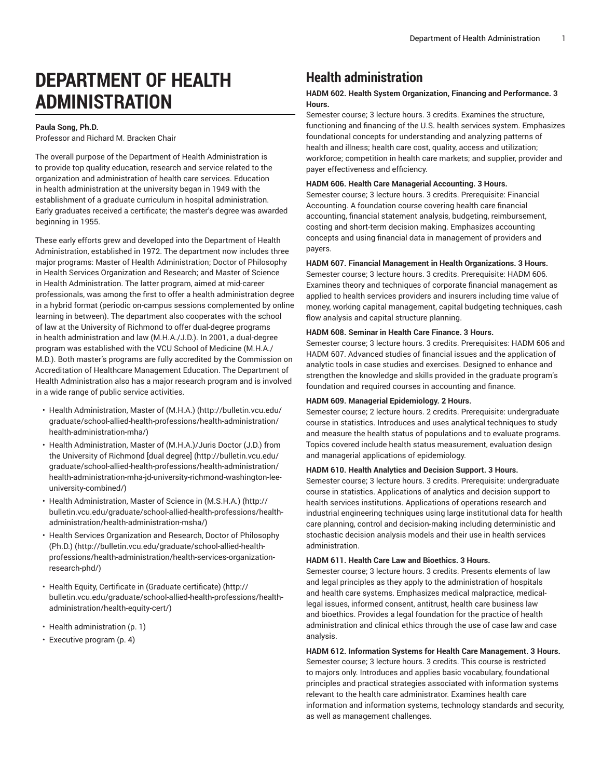# **DEPARTMENT OF HEALTH ADMINISTRATION**

# **Paula Song, Ph.D.**

Professor and Richard M. Bracken Chair

The overall purpose of the Department of Health Administration is to provide top quality education, research and service related to the organization and administration of health care services. Education in health administration at the university began in 1949 with the establishment of a graduate curriculum in hospital administration. Early graduates received a certificate; the master's degree was awarded beginning in 1955.

These early efforts grew and developed into the Department of Health Administration, established in 1972. The department now includes three major programs: Master of Health Administration; Doctor of Philosophy in Health Services Organization and Research; and Master of Science in Health Administration. The latter program, aimed at mid-career professionals, was among the first to offer a health administration degree in a hybrid format (periodic on-campus sessions complemented by online learning in between). The department also cooperates with the school of law at the University of Richmond to offer dual-degree programs in health administration and law (M.H.A./J.D.). In 2001, a dual-degree program was established with the VCU School of Medicine (M.H.A./ M.D.). Both master's programs are fully accredited by the Commission on Accreditation of Healthcare Management Education. The Department of Health Administration also has a major research program and is involved in a wide range of public service activities.

- [Health Administration, Master of \(M.H.A.\) \(http://bulletin.vcu.edu/](http://bulletin.vcu.edu/graduate/school-allied-health-professions/health-administration/health-administration-mha/) [graduate/school-allied-health-professions/health-administration/](http://bulletin.vcu.edu/graduate/school-allied-health-professions/health-administration/health-administration-mha/) [health-administration-mha/](http://bulletin.vcu.edu/graduate/school-allied-health-professions/health-administration/health-administration-mha/))
- Health [Administration,](http://bulletin.vcu.edu/graduate/school-allied-health-professions/health-administration/health-administration-mha-jd-university-richmond-washington-lee-university-combined/) Master of (M.H.A.)/Juris Doctor (J.D.) from the University of [Richmond](http://bulletin.vcu.edu/graduate/school-allied-health-professions/health-administration/health-administration-mha-jd-university-richmond-washington-lee-university-combined/) [dual degree] [\(http://bulletin.vcu.edu/](http://bulletin.vcu.edu/graduate/school-allied-health-professions/health-administration/health-administration-mha-jd-university-richmond-washington-lee-university-combined/) [graduate/school-allied-health-professions/health-administration/](http://bulletin.vcu.edu/graduate/school-allied-health-professions/health-administration/health-administration-mha-jd-university-richmond-washington-lee-university-combined/) [health-administration-mha-jd-university-richmond-washington-lee](http://bulletin.vcu.edu/graduate/school-allied-health-professions/health-administration/health-administration-mha-jd-university-richmond-washington-lee-university-combined/)[university-combined/](http://bulletin.vcu.edu/graduate/school-allied-health-professions/health-administration/health-administration-mha-jd-university-richmond-washington-lee-university-combined/))
- [Health Administration, Master of Science in \(M.S.H.A.\) \(http://](http://bulletin.vcu.edu/graduate/school-allied-health-professions/health-administration/health-administration-msha/) [bulletin.vcu.edu/graduate/school-allied-health-professions/health](http://bulletin.vcu.edu/graduate/school-allied-health-professions/health-administration/health-administration-msha/)[administration/health-administration-msha/](http://bulletin.vcu.edu/graduate/school-allied-health-professions/health-administration/health-administration-msha/))
- Health Services [Organization](http://bulletin.vcu.edu/graduate/school-allied-health-professions/health-administration/health-services-organization-research-phd/) and Research, Doctor of Philosophy [\(Ph.D.\)](http://bulletin.vcu.edu/graduate/school-allied-health-professions/health-administration/health-services-organization-research-phd/) ([http://bulletin.vcu.edu/graduate/school-allied-health](http://bulletin.vcu.edu/graduate/school-allied-health-professions/health-administration/health-services-organization-research-phd/)[professions/health-administration/health-services-organization](http://bulletin.vcu.edu/graduate/school-allied-health-professions/health-administration/health-services-organization-research-phd/)[research-phd/](http://bulletin.vcu.edu/graduate/school-allied-health-professions/health-administration/health-services-organization-research-phd/))
- Health Equity, Certificate in (Graduate [certificate\)](http://bulletin.vcu.edu/graduate/school-allied-health-professions/health-administration/health-equity-cert/) ([http://](http://bulletin.vcu.edu/graduate/school-allied-health-professions/health-administration/health-equity-cert/) [bulletin.vcu.edu/graduate/school-allied-health-professions/health](http://bulletin.vcu.edu/graduate/school-allied-health-professions/health-administration/health-equity-cert/)[administration/health-equity-cert/](http://bulletin.vcu.edu/graduate/school-allied-health-professions/health-administration/health-equity-cert/))
- [Health administration](#page-0-0) ([p. 1\)](#page-0-0)
- [Executive](#page-3-0) program ([p. 4\)](#page-3-0)

# <span id="page-0-0"></span>**Health administration**

# **HADM 602. Health System Organization, Financing and Performance. 3 Hours.**

Semester course; 3 lecture hours. 3 credits. Examines the structure, functioning and financing of the U.S. health services system. Emphasizes foundational concepts for understanding and analyzing patterns of health and illness; health care cost, quality, access and utilization; workforce; competition in health care markets; and supplier, provider and payer effectiveness and efficiency.

#### **HADM 606. Health Care Managerial Accounting. 3 Hours.**

Semester course; 3 lecture hours. 3 credits. Prerequisite: Financial Accounting. A foundation course covering health care financial accounting, financial statement analysis, budgeting, reimbursement, costing and short-term decision making. Emphasizes accounting concepts and using financial data in management of providers and payers.

#### **HADM 607. Financial Management in Health Organizations. 3 Hours.**

Semester course; 3 lecture hours. 3 credits. Prerequisite: HADM 606. Examines theory and techniques of corporate financial management as applied to health services providers and insurers including time value of money, working capital management, capital budgeting techniques, cash flow analysis and capital structure planning.

### **HADM 608. Seminar in Health Care Finance. 3 Hours.**

Semester course; 3 lecture hours. 3 credits. Prerequisites: HADM 606 and HADM 607. Advanced studies of financial issues and the application of analytic tools in case studies and exercises. Designed to enhance and strengthen the knowledge and skills provided in the graduate program's foundation and required courses in accounting and finance.

#### **HADM 609. Managerial Epidemiology. 2 Hours.**

Semester course; 2 lecture hours. 2 credits. Prerequisite: undergraduate course in statistics. Introduces and uses analytical techniques to study and measure the health status of populations and to evaluate programs. Topics covered include health status measurement, evaluation design and managerial applications of epidemiology.

#### **HADM 610. Health Analytics and Decision Support. 3 Hours.**

Semester course; 3 lecture hours. 3 credits. Prerequisite: undergraduate course in statistics. Applications of analytics and decision support to health services institutions. Applications of operations research and industrial engineering techniques using large institutional data for health care planning, control and decision-making including deterministic and stochastic decision analysis models and their use in health services administration.

#### **HADM 611. Health Care Law and Bioethics. 3 Hours.**

Semester course; 3 lecture hours. 3 credits. Presents elements of law and legal principles as they apply to the administration of hospitals and health care systems. Emphasizes medical malpractice, medicallegal issues, informed consent, antitrust, health care business law and bioethics. Provides a legal foundation for the practice of health administration and clinical ethics through the use of case law and case analysis.

# **HADM 612. Information Systems for Health Care Management. 3 Hours.**

Semester course; 3 lecture hours. 3 credits. This course is restricted to majors only. Introduces and applies basic vocabulary, foundational principles and practical strategies associated with information systems relevant to the health care administrator. Examines health care information and information systems, technology standards and security, as well as management challenges.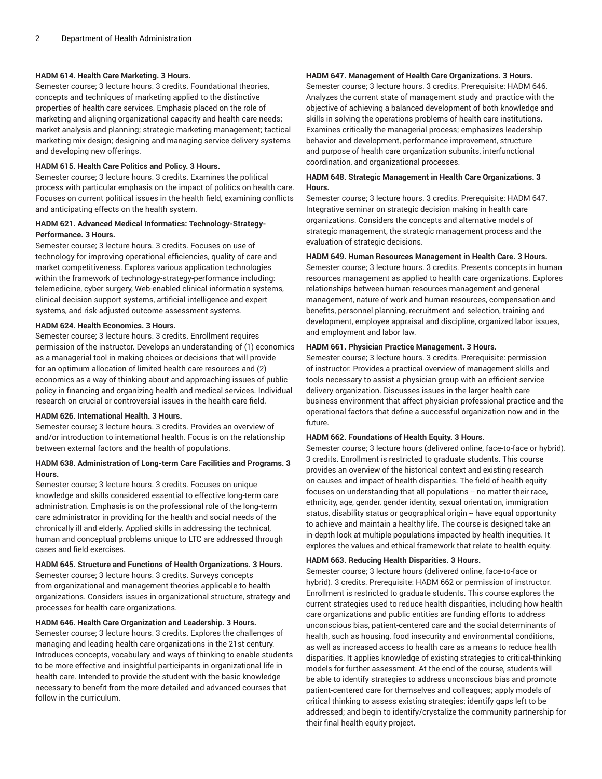#### **HADM 614. Health Care Marketing. 3 Hours.**

Semester course; 3 lecture hours. 3 credits. Foundational theories, concepts and techniques of marketing applied to the distinctive properties of health care services. Emphasis placed on the role of marketing and aligning organizational capacity and health care needs; market analysis and planning; strategic marketing management; tactical marketing mix design; designing and managing service delivery systems and developing new offerings.

#### **HADM 615. Health Care Politics and Policy. 3 Hours.**

Semester course; 3 lecture hours. 3 credits. Examines the political process with particular emphasis on the impact of politics on health care. Focuses on current political issues in the health field, examining conflicts and anticipating effects on the health system.

#### **HADM 621. Advanced Medical Informatics: Technology-Strategy-Performance. 3 Hours.**

Semester course; 3 lecture hours. 3 credits. Focuses on use of technology for improving operational efficiencies, quality of care and market competitiveness. Explores various application technologies within the framework of technology-strategy-performance including: telemedicine, cyber surgery, Web-enabled clinical information systems, clinical decision support systems, artificial intelligence and expert systems, and risk-adjusted outcome assessment systems.

#### **HADM 624. Health Economics. 3 Hours.**

Semester course; 3 lecture hours. 3 credits. Enrollment requires permission of the instructor. Develops an understanding of (1) economics as a managerial tool in making choices or decisions that will provide for an optimum allocation of limited health care resources and (2) economics as a way of thinking about and approaching issues of public policy in financing and organizing health and medical services. Individual research on crucial or controversial issues in the health care field.

#### **HADM 626. International Health. 3 Hours.**

Semester course; 3 lecture hours. 3 credits. Provides an overview of and/or introduction to international health. Focus is on the relationship between external factors and the health of populations.

#### **HADM 638. Administration of Long-term Care Facilities and Programs. 3 Hours.**

Semester course; 3 lecture hours. 3 credits. Focuses on unique knowledge and skills considered essential to effective long-term care administration. Emphasis is on the professional role of the long-term care administrator in providing for the health and social needs of the chronically ill and elderly. Applied skills in addressing the technical, human and conceptual problems unique to LTC are addressed through cases and field exercises.

#### **HADM 645. Structure and Functions of Health Organizations. 3 Hours.**

Semester course; 3 lecture hours. 3 credits. Surveys concepts from organizational and management theories applicable to health organizations. Considers issues in organizational structure, strategy and processes for health care organizations.

#### **HADM 646. Health Care Organization and Leadership. 3 Hours.**

Semester course; 3 lecture hours. 3 credits. Explores the challenges of managing and leading health care organizations in the 21st century. Introduces concepts, vocabulary and ways of thinking to enable students to be more effective and insightful participants in organizational life in health care. Intended to provide the student with the basic knowledge necessary to benefit from the more detailed and advanced courses that follow in the curriculum.

# **HADM 647. Management of Health Care Organizations. 3 Hours.**

Semester course; 3 lecture hours. 3 credits. Prerequisite: HADM 646. Analyzes the current state of management study and practice with the objective of achieving a balanced development of both knowledge and skills in solving the operations problems of health care institutions. Examines critically the managerial process; emphasizes leadership behavior and development, performance improvement, structure and purpose of health care organization subunits, interfunctional coordination, and organizational processes.

#### **HADM 648. Strategic Management in Health Care Organizations. 3 Hours.**

Semester course; 3 lecture hours. 3 credits. Prerequisite: HADM 647. Integrative seminar on strategic decision making in health care organizations. Considers the concepts and alternative models of strategic management, the strategic management process and the evaluation of strategic decisions.

#### **HADM 649. Human Resources Management in Health Care. 3 Hours.**

Semester course; 3 lecture hours. 3 credits. Presents concepts in human resources management as applied to health care organizations. Explores relationships between human resources management and general management, nature of work and human resources, compensation and benefits, personnel planning, recruitment and selection, training and development, employee appraisal and discipline, organized labor issues, and employment and labor law.

#### **HADM 661. Physician Practice Management. 3 Hours.**

Semester course; 3 lecture hours. 3 credits. Prerequisite: permission of instructor. Provides a practical overview of management skills and tools necessary to assist a physician group with an efficient service delivery organization. Discusses issues in the larger health care business environment that affect physician professional practice and the operational factors that define a successful organization now and in the future.

#### **HADM 662. Foundations of Health Equity. 3 Hours.**

Semester course; 3 lecture hours (delivered online, face-to-face or hybrid). 3 credits. Enrollment is restricted to graduate students. This course provides an overview of the historical context and existing research on causes and impact of health disparities. The field of health equity focuses on understanding that all populations -- no matter their race, ethnicity, age, gender, gender identity, sexual orientation, immigration status, disability status or geographical origin -- have equal opportunity to achieve and maintain a healthy life. The course is designed take an in-depth look at multiple populations impacted by health inequities. It explores the values and ethical framework that relate to health equity.

#### **HADM 663. Reducing Health Disparities. 3 Hours.**

Semester course; 3 lecture hours (delivered online, face-to-face or hybrid). 3 credits. Prerequisite: HADM 662 or permission of instructor. Enrollment is restricted to graduate students. This course explores the current strategies used to reduce health disparities, including how health care organizations and public entities are funding efforts to address unconscious bias, patient-centered care and the social determinants of health, such as housing, food insecurity and environmental conditions, as well as increased access to health care as a means to reduce health disparities. It applies knowledge of existing strategies to critical-thinking models for further assessment. At the end of the course, students will be able to identify strategies to address unconscious bias and promote patient-centered care for themselves and colleagues; apply models of critical thinking to assess existing strategies; identify gaps left to be addressed; and begin to identify/crystalize the community partnership for their final health equity project.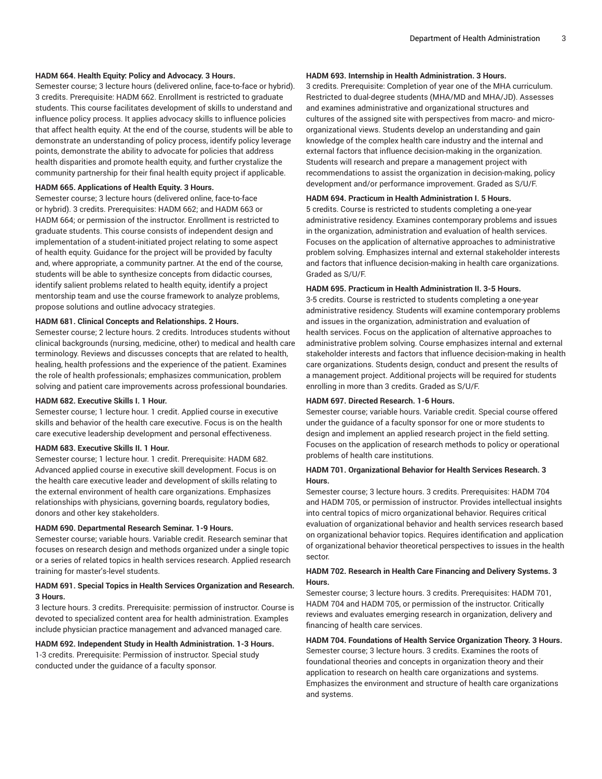#### **HADM 664. Health Equity: Policy and Advocacy. 3 Hours.**

Semester course; 3 lecture hours (delivered online, face-to-face or hybrid). 3 credits. Prerequisite: HADM 662. Enrollment is restricted to graduate students. This course facilitates development of skills to understand and influence policy process. It applies advocacy skills to influence policies that affect health equity. At the end of the course, students will be able to demonstrate an understanding of policy process, identify policy leverage points, demonstrate the ability to advocate for policies that address health disparities and promote health equity, and further crystalize the community partnership for their final health equity project if applicable.

#### **HADM 665. Applications of Health Equity. 3 Hours.**

Semester course; 3 lecture hours (delivered online, face-to-face or hybrid). 3 credits. Prerequisites: HADM 662; and HADM 663 or HADM 664; or permission of the instructor. Enrollment is restricted to graduate students. This course consists of independent design and implementation of a student-initiated project relating to some aspect of health equity. Guidance for the project will be provided by faculty and, where appropriate, a community partner. At the end of the course, students will be able to synthesize concepts from didactic courses, identify salient problems related to health equity, identify a project mentorship team and use the course framework to analyze problems, propose solutions and outline advocacy strategies.

#### **HADM 681. Clinical Concepts and Relationships. 2 Hours.**

Semester course; 2 lecture hours. 2 credits. Introduces students without clinical backgrounds (nursing, medicine, other) to medical and health care terminology. Reviews and discusses concepts that are related to health, healing, health professions and the experience of the patient. Examines the role of health professionals; emphasizes communication, problem solving and patient care improvements across professional boundaries.

#### **HADM 682. Executive Skills I. 1 Hour.**

Semester course; 1 lecture hour. 1 credit. Applied course in executive skills and behavior of the health care executive. Focus is on the health care executive leadership development and personal effectiveness.

#### **HADM 683. Executive Skills II. 1 Hour.**

Semester course; 1 lecture hour. 1 credit. Prerequisite: HADM 682. Advanced applied course in executive skill development. Focus is on the health care executive leader and development of skills relating to the external environment of health care organizations. Emphasizes relationships with physicians, governing boards, regulatory bodies, donors and other key stakeholders.

#### **HADM 690. Departmental Research Seminar. 1-9 Hours.**

Semester course; variable hours. Variable credit. Research seminar that focuses on research design and methods organized under a single topic or a series of related topics in health services research. Applied research training for master's-level students.

#### **HADM 691. Special Topics in Health Services Organization and Research. 3 Hours.**

3 lecture hours. 3 credits. Prerequisite: permission of instructor. Course is devoted to specialized content area for health administration. Examples include physician practice management and advanced managed care.

# **HADM 692. Independent Study in Health Administration. 1-3 Hours.**

1-3 credits. Prerequisite: Permission of instructor. Special study conducted under the guidance of a faculty sponsor.

### **HADM 693. Internship in Health Administration. 3 Hours.**

3 credits. Prerequisite: Completion of year one of the MHA curriculum. Restricted to dual-degree students (MHA/MD and MHA/JD). Assesses and examines administrative and organizational structures and cultures of the assigned site with perspectives from macro- and microorganizational views. Students develop an understanding and gain knowledge of the complex health care industry and the internal and external factors that influence decision-making in the organization. Students will research and prepare a management project with recommendations to assist the organization in decision-making, policy development and/or performance improvement. Graded as S/U/F.

#### **HADM 694. Practicum in Health Administration I. 5 Hours.**

5 credits. Course is restricted to students completing a one-year administrative residency. Examines contemporary problems and issues in the organization, administration and evaluation of health services. Focuses on the application of alternative approaches to administrative problem solving. Emphasizes internal and external stakeholder interests and factors that influence decision-making in health care organizations. Graded as S/U/F.

#### **HADM 695. Practicum in Health Administration II. 3-5 Hours.**

3-5 credits. Course is restricted to students completing a one-year administrative residency. Students will examine contemporary problems and issues in the organization, administration and evaluation of health services. Focus on the application of alternative approaches to administrative problem solving. Course emphasizes internal and external stakeholder interests and factors that influence decision-making in health care organizations. Students design, conduct and present the results of a management project. Additional projects will be required for students enrolling in more than 3 credits. Graded as S/U/F.

#### **HADM 697. Directed Research. 1-6 Hours.**

Semester course; variable hours. Variable credit. Special course offered under the guidance of a faculty sponsor for one or more students to design and implement an applied research project in the field setting. Focuses on the application of research methods to policy or operational problems of health care institutions.

#### **HADM 701. Organizational Behavior for Health Services Research. 3 Hours.**

Semester course; 3 lecture hours. 3 credits. Prerequisites: HADM 704 and HADM 705, or permission of instructor. Provides intellectual insights into central topics of micro organizational behavior. Requires critical evaluation of organizational behavior and health services research based on organizational behavior topics. Requires identification and application of organizational behavior theoretical perspectives to issues in the health sector.

#### **HADM 702. Research in Health Care Financing and Delivery Systems. 3 Hours.**

Semester course; 3 lecture hours. 3 credits. Prerequisites: HADM 701, HADM 704 and HADM 705, or permission of the instructor. Critically reviews and evaluates emerging research in organization, delivery and financing of health care services.

# **HADM 704. Foundations of Health Service Organization Theory. 3 Hours.**

Semester course; 3 lecture hours. 3 credits. Examines the roots of foundational theories and concepts in organization theory and their application to research on health care organizations and systems. Emphasizes the environment and structure of health care organizations and systems.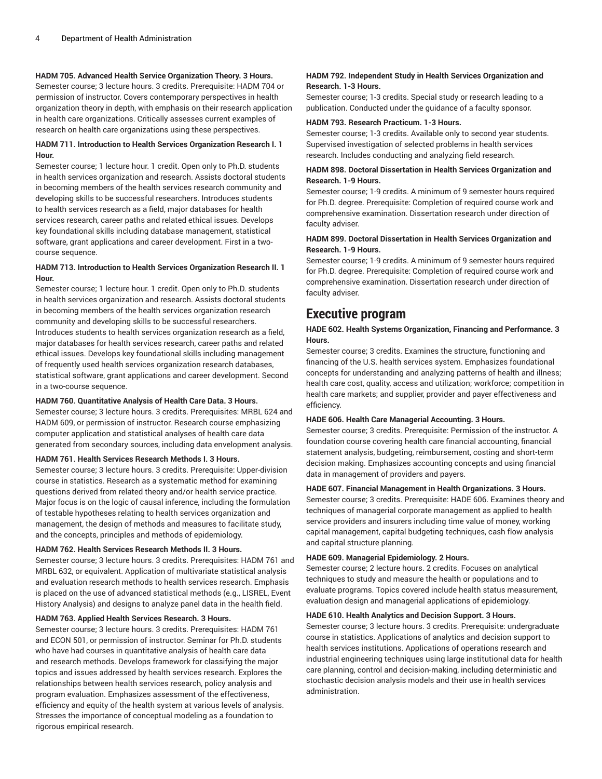### **HADM 705. Advanced Health Service Organization Theory. 3 Hours.**

Semester course; 3 lecture hours. 3 credits. Prerequisite: HADM 704 or permission of instructor. Covers contemporary perspectives in health organization theory in depth, with emphasis on their research application in health care organizations. Critically assesses current examples of research on health care organizations using these perspectives.

# **HADM 711. Introduction to Health Services Organization Research I. 1 Hour.**

Semester course; 1 lecture hour. 1 credit. Open only to Ph.D. students in health services organization and research. Assists doctoral students in becoming members of the health services research community and developing skills to be successful researchers. Introduces students to health services research as a field, major databases for health services research, career paths and related ethical issues. Develops key foundational skills including database management, statistical software, grant applications and career development. First in a twocourse sequence.

### **HADM 713. Introduction to Health Services Organization Research II. 1 Hour.**

Semester course; 1 lecture hour. 1 credit. Open only to Ph.D. students in health services organization and research. Assists doctoral students in becoming members of the health services organization research community and developing skills to be successful researchers. Introduces students to health services organization research as a field, major databases for health services research, career paths and related ethical issues. Develops key foundational skills including management of frequently used health services organization research databases, statistical software, grant applications and career development. Second in a two-course sequence.

# **HADM 760. Quantitative Analysis of Health Care Data. 3 Hours.**

Semester course; 3 lecture hours. 3 credits. Prerequisites: MRBL 624 and HADM 609, or permission of instructor. Research course emphasizing computer application and statistical analyses of health care data generated from secondary sources, including data envelopment analysis.

#### **HADM 761. Health Services Research Methods I. 3 Hours.**

Semester course; 3 lecture hours. 3 credits. Prerequisite: Upper-division course in statistics. Research as a systematic method for examining questions derived from related theory and/or health service practice. Major focus is on the logic of causal inference, including the formulation of testable hypotheses relating to health services organization and management, the design of methods and measures to facilitate study, and the concepts, principles and methods of epidemiology.

#### **HADM 762. Health Services Research Methods II. 3 Hours.**

Semester course; 3 lecture hours. 3 credits. Prerequisites: HADM 761 and MRBL 632, or equivalent. Application of multivariate statistical analysis and evaluation research methods to health services research. Emphasis is placed on the use of advanced statistical methods (e.g., LISREL, Event History Analysis) and designs to analyze panel data in the health field.

#### **HADM 763. Applied Health Services Research. 3 Hours.**

Semester course; 3 lecture hours. 3 credits. Prerequisites: HADM 761 and ECON 501, or permission of instructor. Seminar for Ph.D. students who have had courses in quantitative analysis of health care data and research methods. Develops framework for classifying the major topics and issues addressed by health services research. Explores the relationships between health services research, policy analysis and program evaluation. Emphasizes assessment of the effectiveness, efficiency and equity of the health system at various levels of analysis. Stresses the importance of conceptual modeling as a foundation to rigorous empirical research.

## **HADM 792. Independent Study in Health Services Organization and Research. 1-3 Hours.**

Semester course; 1-3 credits. Special study or research leading to a publication. Conducted under the guidance of a faculty sponsor.

#### **HADM 793. Research Practicum. 1-3 Hours.**

Semester course; 1-3 credits. Available only to second year students. Supervised investigation of selected problems in health services research. Includes conducting and analyzing field research.

# **HADM 898. Doctoral Dissertation in Health Services Organization and Research. 1-9 Hours.**

Semester course; 1-9 credits. A minimum of 9 semester hours required for Ph.D. degree. Prerequisite: Completion of required course work and comprehensive examination. Dissertation research under direction of faculty adviser.

## **HADM 899. Doctoral Dissertation in Health Services Organization and Research. 1-9 Hours.**

Semester course; 1-9 credits. A minimum of 9 semester hours required for Ph.D. degree. Prerequisite: Completion of required course work and comprehensive examination. Dissertation research under direction of faculty adviser.

# <span id="page-3-0"></span>**Executive program**

# **HADE 602. Health Systems Organization, Financing and Performance. 3 Hours.**

Semester course; 3 credits. Examines the structure, functioning and financing of the U.S. health services system. Emphasizes foundational concepts for understanding and analyzing patterns of health and illness; health care cost, quality, access and utilization; workforce; competition in health care markets; and supplier, provider and payer effectiveness and efficiency.

#### **HADE 606. Health Care Managerial Accounting. 3 Hours.**

Semester course; 3 credits. Prerequisite: Permission of the instructor. A foundation course covering health care financial accounting, financial statement analysis, budgeting, reimbursement, costing and short-term decision making. Emphasizes accounting concepts and using financial data in management of providers and payers.

# **HADE 607. Financial Management in Health Organizations. 3 Hours.**

Semester course; 3 credits. Prerequisite: HADE 606. Examines theory and techniques of managerial corporate management as applied to health service providers and insurers including time value of money, working capital management, capital budgeting techniques, cash flow analysis and capital structure planning.

# **HADE 609. Managerial Epidemiology. 2 Hours.**

Semester course; 2 lecture hours. 2 credits. Focuses on analytical techniques to study and measure the health or populations and to evaluate programs. Topics covered include health status measurement, evaluation design and managerial applications of epidemiology.

## **HADE 610. Health Analytics and Decision Support. 3 Hours.**

Semester course; 3 lecture hours. 3 credits. Prerequisite: undergraduate course in statistics. Applications of analytics and decision support to health services institutions. Applications of operations research and industrial engineering techniques using large institutional data for health care planning, control and decision-making, including deterministic and stochastic decision analysis models and their use in health services administration.